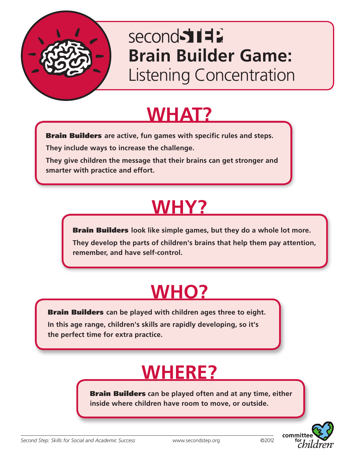

### second 511 **Brain Builder Game:** Listening Concentration

### **WHAT?**

Brain Builders **are active, fun games with specific rules and steps.**

**They include ways to increase the challenge.** 

**They give children the message that their brains can get stronger and smarter with practice and effort.**

## **WHY?**

Brain Builders **look like simple games, but they do a whole lot more. They develop the parts of children's brains that help them pay attention, remember, and have self-control.**

# **WHO?**

Brain Builders **can be played with children ages three to eight.** 

**In this age range, children's skills are rapidly developing, so it's the perfect time for extra practice.**

## **WHERE?**

Brain Builders **can be played often and at any time, either inside where children have room to move, or outside.**